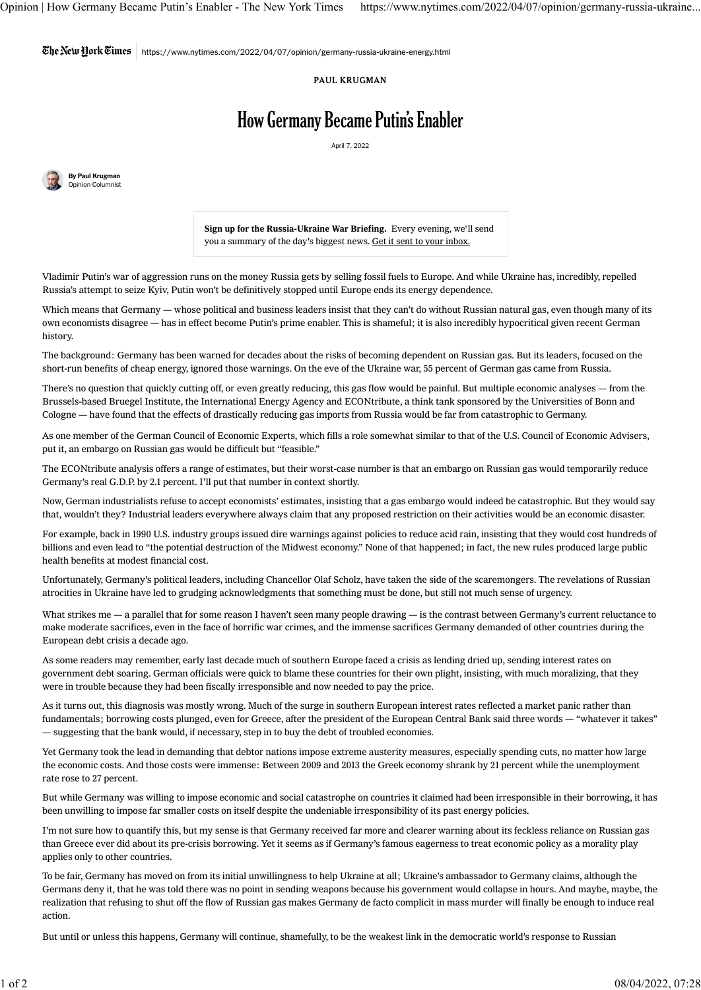The Netu Hork Times  $\mid$  https://www.nytimes.com/2022/04/07/opinion/germany-russia-ukraine-energy.html

## PAUL KRUGMAN

## How Germany Became Putin's Enabler

April 7, 2022



Sign up for the Russia-Ukraine War Briefing. Every evening, we'll send you a summary of the day's biggest news. Get it sent to your inbox.

Vladimir Putin's war of aggression runs on the money Russia gets by selling fossil fuels to Europe. And while Ukraine has, incredibly, repelled Russia's attempt to seize Kyiv, Putin won't be definitively stopped until Europe ends its energy dependence.

Which means that Germany — whose political and business leaders insist that they can't do without Russian natural gas, even though many of its own economists disagree — has in effect become Putin's prime enabler. This is shameful; it is also incredibly hypocritical given recent German history.

The background: Germany has been warned for decades about the risks of becoming dependent on Russian gas. But its leaders, focused on the short-run benefits of cheap energy, ignored those warnings. On the eve of the Ukraine war, [55 percent](https://www.nytimes.com/2022/03/30/business/germany-gas-rationing.html) of German gas came from Russia.

There's no question that quickly cutting off, or even greatly reducing, this gas flow would be painful. But multiple economic analyses — from the Brussels-based [Bruegel Institute,](https://www.bruegel.org/2022/02/preparing-for-the-first-winter-without-russian-gas/) the [International Energy Agency](https://www.iea.org/reports/a-10-point-plan-to-reduce-the-european-unions-reliance-on-russian-natural-gas) and [ECONtribute,](https://www.econtribute.de/RePEc/ajk/ajkpbs/ECONtribute_PB_028_2022.pdf) a think tank sponsored by the Universities of Bonn and Cologne — have found that the effects of drastically reducing gas imports from Russia would be far from catastrophic to Germany.

As one member of the German Council of Economic Experts, which fills a role somewhat similar to that of the U.S. Council of Economic Advisers, put it, an embargo on Russian gas would be difficult but ["feasible.](https://www.washingtonpost.com/world/2022/03/29/germany-russian-energy-embargo/)"

The ECONtribute analysis offers a [range of estimates,](https://www.econtribute.de/RePEc/ajk/ajkpbs/ECONtribute_PB_028_2022.pdf#page=8) but their worst-case number is that an embargo on Russian gas would temporarily reduce Germany's real G.D.P. by 2.1 percent. I'll put that number in context shortly.

Now, German industrialists refuse to accept economists' estimates, insisting that a gas embargo would indeed be catastrophic. But they would say that, wouldn't they? Industrial leaders everywhere always claim that any proposed restriction on their activities would be an economic disaster.

For example, back in 1990 U.S. industry groups issued [dire warnings](https://blogs.edf.org/climate411/2010/12/02/there-they-go-again/) against policies to reduce acid rain, insisting that they would cost hundreds of billions and even lead to "the potential destruction of the Midwest economy." None of that happened; in fact, the new rules produced large public health benefits at modest financial cost.

Unfortunately, Germany's political leaders, including Chancellor Olaf Scholz, have [taken the side](https://www.washingtonpost.com/world/2022/03/29/germany-russian-energy-embargo/) of the scaremongers. The revelations of Russian atrocities in Ukraine have led to [grudging a](https://www.nytimes.com/2022/04/06/world/europe/germany-gas-russia-ukraine.html)cknowledgments that something must be done, but still not much sense of urgency.

What strikes me - a parallel that for some reason I haven't seen many people drawing - is the contrast between Germany's current reluctance to make moderate sacrifices, even in the face of horrific war crimes, and the immense sacrifices Germany demanded of other countries during the European debt crisis a decade ago.

As some readers may remember, early last decade much of southern Europe faced a crisis as lending dried up, sending interest rates on government debt soaring. German officials were quick to blame these countries for their own plight, insisting, with much moralizing, that they were in trouble because they had been fiscally irresponsible and now needed to pay the price.

As it turns out, this diagnosis was mostly wrong. Much of the surge in southern European interest rates reflected a [market panic](https://voxeu.org/article/panic-driven-austerity-eurozone-and-its-implications) rather than fundamentals; borrowing costs plunged, [even for Greece,](https://fred.stlouisfed.org/series/IRLTLT01GRM156N) after the president of the European Central Bank said three words — ["whatever it takes"](https://www.kfw.de/About-KfW/Newsroom/Latest-News/News-Details_426753.html) — suggesting that the bank would, if necessary, step in to buy the debt of troubled economies.

Yet Germany took the lead in demanding that debtor nations impose [extreme austerity](https://www.theguardian.com/world/2010/feb/11/germany-france-euro-greece-bailout) measures, especially spending cuts, no matter how large the economic costs. And those costs were immense: Between 2009 and 2013 the [Greek economy](https://www.imf.org/en/Publications/WEO/weo-database/2021/April/weo-report?c=174,&s=NGDP_R,LUR,&sy=2009&ey=2013&ssm=0&scsm=1&scc=0&ssd=1&ssc=0&sic=0&sort=country&ds=.&br=1) shrank by 21 percent while the unemployment rate rose to 27 percent.

But while Germany was willing to impose economic and social catastrophe on countries it claimed had been irresponsible in their borrowing, it has been unwilling to impose far smaller costs on itself despite the undeniable irresponsibility of its past energy policies.

I'm not sure how to quantify this, but my sense is that Germany received far more and clearer warning about its feckless reliance on Russian gas than Greece ever did about its pre-crisis borrowing. Yet it seems as if Germany's famous eagerness to treat economic policy as a morality play applies only to other countries.

To be fair, Germany has moved on from its initial unwillingness to help Ukraine at all; Ukraine's ambassador to Germany [claims,](https://kyivindependent.com/uncategorized/ambassador-says-german-minister-was-against-helping-ukraine-thought-it-would-fall-within-hours/) although the Germans deny it, that he was told there was no point in sending weapons because his government would collapse in hours. And maybe, maybe, the realization that refusing to shut off the flow of Russian gas makes Germany de facto complicit in mass murder will finally be enough to induce real action.

But until or unless this happens, Germany will continue, shamefully, to be the weakest link in the democratic world's response to Russian